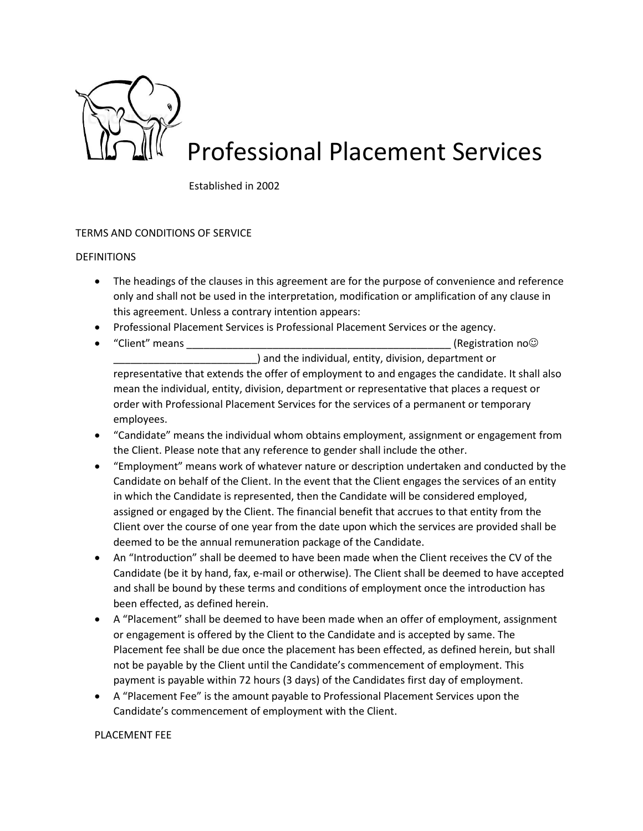

# Professional Placement Services

Established in 2002

# TERMS AND CONDITIONS OF SERVICE

### DEFINITIONS

- The headings of the clauses in this agreement are for the purpose of convenience and reference only and shall not be used in the interpretation, modification or amplification of any clause in this agreement. Unless a contrary intention appears:
- Professional Placement Services is Professional Placement Services or the agency.
- "Client" means **by the contract of the contract of the contract of the contract of the contract of the contract of the contract of the contract of the contract of the contract of the contract of the contract of the contr** \_\_\_\_\_\_\_\_\_\_\_\_\_\_\_\_\_\_\_\_\_\_\_\_\_) and the individual, entity, division, department or representative that extends the offer of employment to and engages the candidate. It shall also mean the individual, entity, division, department or representative that places a request or order with Professional Placement Services for the services of a permanent or temporary employees.
- "Candidate" means the individual whom obtains employment, assignment or engagement from the Client. Please note that any reference to gender shall include the other.
- "Employment" means work of whatever nature or description undertaken and conducted by the Candidate on behalf of the Client. In the event that the Client engages the services of an entity in which the Candidate is represented, then the Candidate will be considered employed, assigned or engaged by the Client. The financial benefit that accrues to that entity from the Client over the course of one year from the date upon which the services are provided shall be deemed to be the annual remuneration package of the Candidate.
- An "Introduction" shall be deemed to have been made when the Client receives the CV of the Candidate (be it by hand, fax, e-mail or otherwise). The Client shall be deemed to have accepted and shall be bound by these terms and conditions of employment once the introduction has been effected, as defined herein.
- A "Placement" shall be deemed to have been made when an offer of employment, assignment or engagement is offered by the Client to the Candidate and is accepted by same. The Placement fee shall be due once the placement has been effected, as defined herein, but shall not be payable by the Client until the Candidate's commencement of employment. This payment is payable within 72 hours (3 days) of the Candidates first day of employment.
- A "Placement Fee" is the amount payable to Professional Placement Services upon the Candidate's commencement of employment with the Client.

### PLACEMENT FEE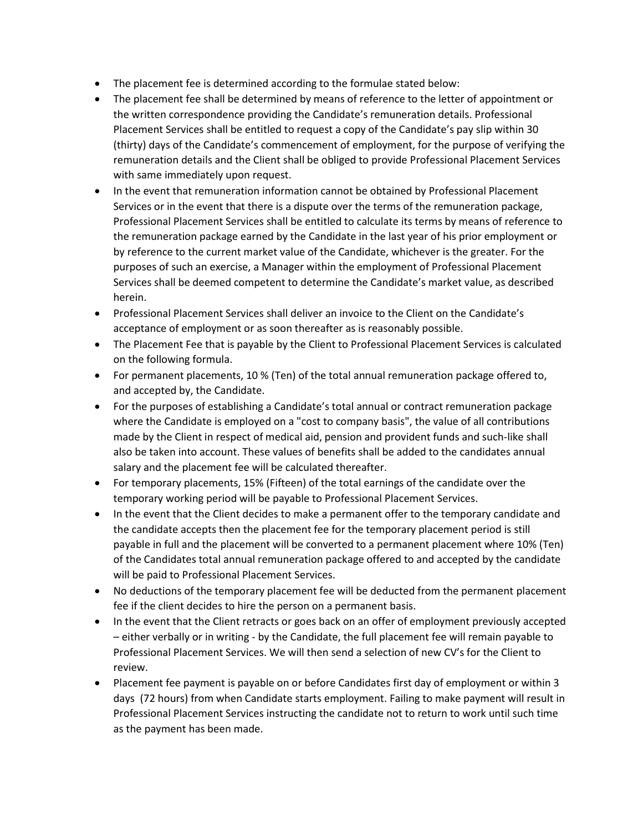- The placement fee is determined according to the formulae stated below:
- The placement fee shall be determined by means of reference to the letter of appointment or the written correspondence providing the Candidate's remuneration details. Professional Placement Services shall be entitled to request a copy of the Candidate's pay slip within 30 (thirty) days of the Candidate's commencement of employment, for the purpose of verifying the remuneration details and the Client shall be obliged to provide Professional Placement Services with same immediately upon request.
- In the event that remuneration information cannot be obtained by Professional Placement Services or in the event that there is a dispute over the terms of the remuneration package, Professional Placement Services shall be entitled to calculate its terms by means of reference to the remuneration package earned by the Candidate in the last year of his prior employment or by reference to the current market value of the Candidate, whichever is the greater. For the purposes of such an exercise, a Manager within the employment of Professional Placement Services shall be deemed competent to determine the Candidate's market value, as described herein.
- Professional Placement Services shall deliver an invoice to the Client on the Candidate's acceptance of employment or as soon thereafter as is reasonably possible.
- The Placement Fee that is payable by the Client to Professional Placement Services is calculated on the following formula.
- For permanent placements, 10 % (Ten) of the total annual remuneration package offered to, and accepted by, the Candidate.
- For the purposes of establishing a Candidate's total annual or contract remuneration package where the Candidate is employed on a "cost to company basis", the value of all contributions made by the Client in respect of medical aid, pension and provident funds and such-like shall also be taken into account. These values of benefits shall be added to the candidates annual salary and the placement fee will be calculated thereafter.
- For temporary placements, 15% (Fifteen) of the total earnings of the candidate over the temporary working period will be payable to Professional Placement Services.
- In the event that the Client decides to make a permanent offer to the temporary candidate and the candidate accepts then the placement fee for the temporary placement period is still payable in full and the placement will be converted to a permanent placement where 10% (Ten) of the Candidates total annual remuneration package offered to and accepted by the candidate will be paid to Professional Placement Services.
- No deductions of the temporary placement fee will be deducted from the permanent placement fee if the client decides to hire the person on a permanent basis.
- In the event that the Client retracts or goes back on an offer of employment previously accepted – either verbally or in writing - by the Candidate, the full placement fee will remain payable to Professional Placement Services. We will then send a selection of new CV's for the Client to review.
- Placement fee payment is payable on or before Candidates first day of employment or within 3 days (72 hours) from when Candidate starts employment. Failing to make payment will result in Professional Placement Services instructing the candidate not to return to work until such time as the payment has been made.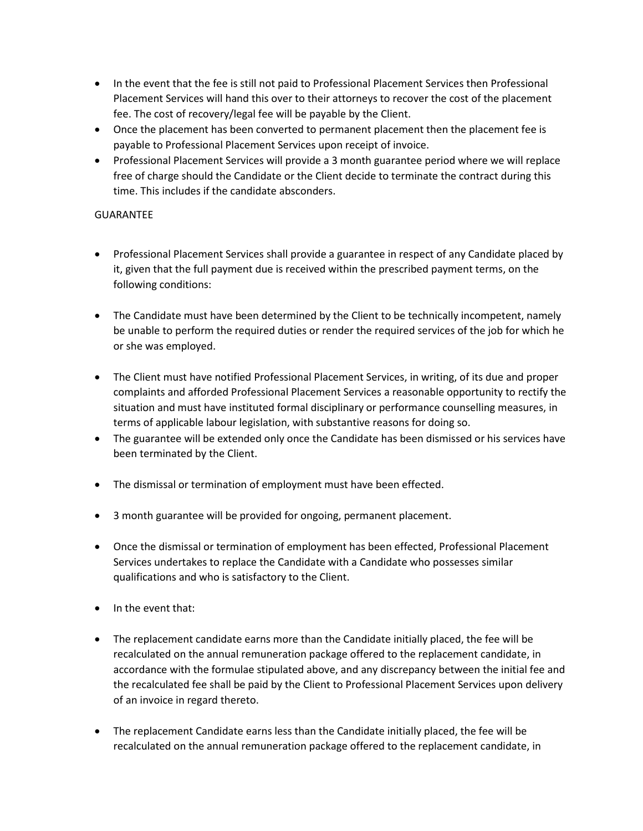- In the event that the fee is still not paid to Professional Placement Services then Professional Placement Services will hand this over to their attorneys to recover the cost of the placement fee. The cost of recovery/legal fee will be payable by the Client.
- Once the placement has been converted to permanent placement then the placement fee is payable to Professional Placement Services upon receipt of invoice.
- Professional Placement Services will provide a 3 month guarantee period where we will replace free of charge should the Candidate or the Client decide to terminate the contract during this time. This includes if the candidate absconders.

# **GUARANTEF**

- Professional Placement Services shall provide a guarantee in respect of any Candidate placed by it, given that the full payment due is received within the prescribed payment terms, on the following conditions:
- The Candidate must have been determined by the Client to be technically incompetent, namely be unable to perform the required duties or render the required services of the job for which he or she was employed.
- The Client must have notified Professional Placement Services, in writing, of its due and proper complaints and afforded Professional Placement Services a reasonable opportunity to rectify the situation and must have instituted formal disciplinary or performance counselling measures, in terms of applicable labour legislation, with substantive reasons for doing so.
- The guarantee will be extended only once the Candidate has been dismissed or his services have been terminated by the Client.
- The dismissal or termination of employment must have been effected.
- 3 month guarantee will be provided for ongoing, permanent placement.
- Once the dismissal or termination of employment has been effected, Professional Placement Services undertakes to replace the Candidate with a Candidate who possesses similar qualifications and who is satisfactory to the Client.
- In the event that:
- The replacement candidate earns more than the Candidate initially placed, the fee will be recalculated on the annual remuneration package offered to the replacement candidate, in accordance with the formulae stipulated above, and any discrepancy between the initial fee and the recalculated fee shall be paid by the Client to Professional Placement Services upon delivery of an invoice in regard thereto.
- The replacement Candidate earns less than the Candidate initially placed, the fee will be recalculated on the annual remuneration package offered to the replacement candidate, in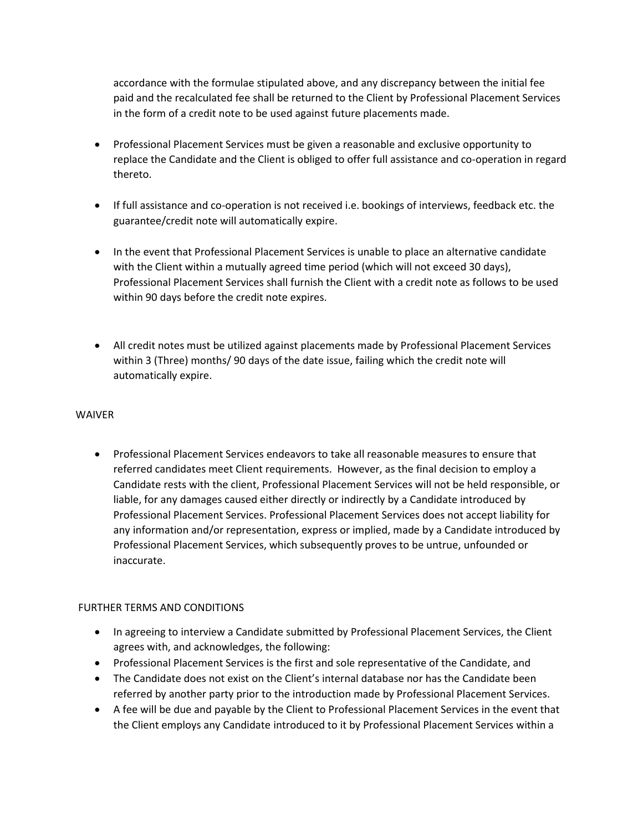accordance with the formulae stipulated above, and any discrepancy between the initial fee paid and the recalculated fee shall be returned to the Client by Professional Placement Services in the form of a credit note to be used against future placements made.

- Professional Placement Services must be given a reasonable and exclusive opportunity to replace the Candidate and the Client is obliged to offer full assistance and co-operation in regard thereto.
- If full assistance and co-operation is not received i.e. bookings of interviews, feedback etc. the guarantee/credit note will automatically expire.
- In the event that Professional Placement Services is unable to place an alternative candidate with the Client within a mutually agreed time period (which will not exceed 30 days), Professional Placement Services shall furnish the Client with a credit note as follows to be used within 90 days before the credit note expires.
- All credit notes must be utilized against placements made by Professional Placement Services within 3 (Three) months/ 90 days of the date issue, failing which the credit note will automatically expire.

### WAIVER

• Professional Placement Services endeavors to take all reasonable measures to ensure that referred candidates meet Client requirements. However, as the final decision to employ a Candidate rests with the client, Professional Placement Services will not be held responsible, or liable, for any damages caused either directly or indirectly by a Candidate introduced by Professional Placement Services. Professional Placement Services does not accept liability for any information and/or representation, express or implied, made by a Candidate introduced by Professional Placement Services, which subsequently proves to be untrue, unfounded or inaccurate.

# FURTHER TERMS AND CONDITIONS

- In agreeing to interview a Candidate submitted by Professional Placement Services, the Client agrees with, and acknowledges, the following:
- Professional Placement Services is the first and sole representative of the Candidate, and
- The Candidate does not exist on the Client's internal database nor has the Candidate been referred by another party prior to the introduction made by Professional Placement Services.
- A fee will be due and payable by the Client to Professional Placement Services in the event that the Client employs any Candidate introduced to it by Professional Placement Services within a